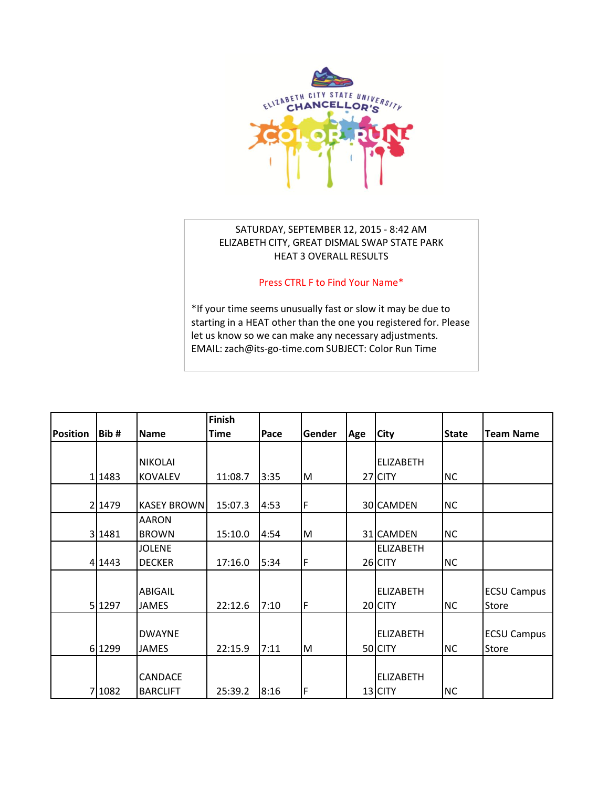

## SATURDAY, SEPTEMBER 12, 2015 - 8:42 AM ELIZABETH CITY, GREAT DISMAL SWAP STATE PARK HEAT 3 OVERALL RESULTS

## Press CTRL F to Find Your Name\*

\*If your time seems unusually fast or slow it may be due to [starting in a HEAT other than the one you registered for. Please](mailto:zach@its-go-time.com?subject=Chancellors%20Color%20Run%20Time)  let us know so we can make any necessary adjustments. EMAIL: zach@its-go-time.com SUBJECT: Color Run Time

|                 |        |                    | Finish      |      |        |     |                  |              |                    |
|-----------------|--------|--------------------|-------------|------|--------|-----|------------------|--------------|--------------------|
| <b>Position</b> | Bib#   | Name               | <b>Time</b> | Pace | Gender | Age | City             | <b>State</b> | <b>Team Name</b>   |
|                 |        |                    |             |      |        |     |                  |              |                    |
|                 |        | <b>NIKOLAI</b>     |             |      |        |     | <b>ELIZABETH</b> |              |                    |
|                 | 1 1483 | <b>KOVALEV</b>     | 11:08.7     | 3:35 | M      |     | 27 CITY          | <b>NC</b>    |                    |
|                 |        |                    |             |      |        |     |                  |              |                    |
|                 | 2 1479 | <b>KASEY BROWN</b> | 15:07.3     | 4:53 | F      |     | 30 CAMDEN        | <b>NC</b>    |                    |
|                 |        | <b>AARON</b>       |             |      |        |     |                  |              |                    |
|                 | 3 1481 | <b>BROWN</b>       | 15:10.0     | 4:54 | M      |     | 31 CAMDEN        | <b>NC</b>    |                    |
|                 |        | <b>JOLENE</b>      |             |      |        |     | <b>ELIZABETH</b> |              |                    |
|                 | 4 1443 | <b>DECKER</b>      | 17:16.0     | 5:34 | F      |     | 26 CITY          | <b>NC</b>    |                    |
|                 |        |                    |             |      |        |     |                  |              |                    |
|                 |        | <b>ABIGAIL</b>     |             |      |        |     | <b>ELIZABETH</b> |              | <b>ECSU Campus</b> |
|                 | 5 1297 | <b>JAMES</b>       | 22:12.6     | 7:10 | F      |     | 20 CITY          | <b>NC</b>    | Store              |
|                 |        |                    |             |      |        |     |                  |              |                    |
|                 |        | <b>DWAYNE</b>      |             |      |        |     | <b>ELIZABETH</b> |              | <b>ECSU Campus</b> |
|                 | 6 1299 | <b>JAMES</b>       | 22:15.9     | 7:11 | M      |     | 50 CITY          | <b>NC</b>    | Store              |
|                 |        |                    |             |      |        |     |                  |              |                    |
|                 |        | <b>CANDACE</b>     |             |      |        |     | <b>ELIZABETH</b> |              |                    |
|                 | 71082  | <b>BARCLIFT</b>    | 25:39.2     | 8:16 | F      |     | 13 CITY          | <b>NC</b>    |                    |